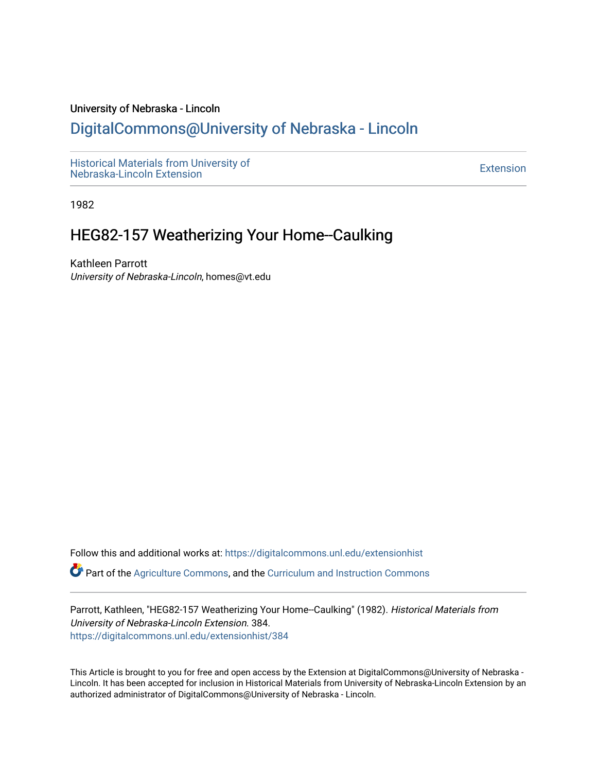#### University of Nebraska - Lincoln

# [DigitalCommons@University of Nebraska - Lincoln](https://digitalcommons.unl.edu/)

[Historical Materials from University of](https://digitalcommons.unl.edu/extensionhist)  nistorical Materials from Oniversity of the control of the control of the [Extension](https://digitalcommons.unl.edu/coop_extension) Extension extension of the<br>Nebraska-Lincoln Extension

1982

# HEG82-157 Weatherizing Your Home--Caulking

Kathleen Parrott University of Nebraska-Lincoln, homes@vt.edu

Follow this and additional works at: [https://digitalcommons.unl.edu/extensionhist](https://digitalcommons.unl.edu/extensionhist?utm_source=digitalcommons.unl.edu%2Fextensionhist%2F384&utm_medium=PDF&utm_campaign=PDFCoverPages) 

Part of the [Agriculture Commons](http://network.bepress.com/hgg/discipline/1076?utm_source=digitalcommons.unl.edu%2Fextensionhist%2F384&utm_medium=PDF&utm_campaign=PDFCoverPages), and the [Curriculum and Instruction Commons](http://network.bepress.com/hgg/discipline/786?utm_source=digitalcommons.unl.edu%2Fextensionhist%2F384&utm_medium=PDF&utm_campaign=PDFCoverPages) 

Parrott, Kathleen, "HEG82-157 Weatherizing Your Home--Caulking" (1982). Historical Materials from University of Nebraska-Lincoln Extension. 384. [https://digitalcommons.unl.edu/extensionhist/384](https://digitalcommons.unl.edu/extensionhist/384?utm_source=digitalcommons.unl.edu%2Fextensionhist%2F384&utm_medium=PDF&utm_campaign=PDFCoverPages) 

This Article is brought to you for free and open access by the Extension at DigitalCommons@University of Nebraska - Lincoln. It has been accepted for inclusion in Historical Materials from University of Nebraska-Lincoln Extension by an authorized administrator of DigitalCommons@University of Nebraska - Lincoln.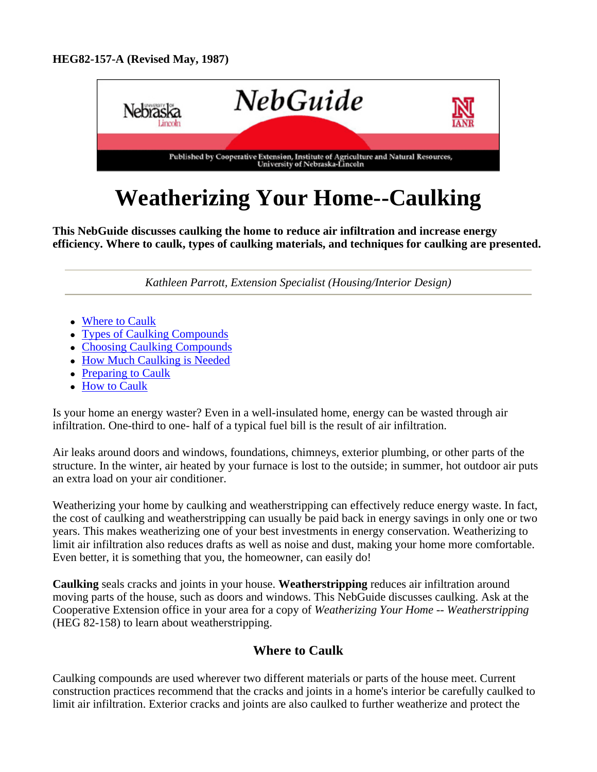

# **Weatherizing Your Home--Caulking**

**This NebGuide discusses caulking the home to reduce air infiltration and increase energy efficiency. Where to caulk, types of caulking materials, and techniques for caulking are presented.**

*Kathleen Parrott, Extension Specialist (Housing/Interior Design)*

- Where to Caulk
- Types of Caulking Compounds
- Choosing Caulking Compounds
- How Much Caulking is Needed
- Preparing to Caulk
- How to Caulk

Is your home an energy waster? Even in a well-insulated home, energy can be wasted through air infiltration. One-third to one- half of a typical fuel bill is the result of air infiltration.

Air leaks around doors and windows, foundations, chimneys, exterior plumbing, or other parts of the structure. In the winter, air heated by your furnace is lost to the outside; in summer, hot outdoor air puts an extra load on your air conditioner.

Weatherizing your home by caulking and weatherstripping can effectively reduce energy waste. In fact, the cost of caulking and weatherstripping can usually be paid back in energy savings in only one or two years. This makes weatherizing one of your best investments in energy conservation. Weatherizing to limit air infiltration also reduces drafts as well as noise and dust, making your home more comfortable. Even better, it is something that you, the homeowner, can easily do!

**Caulking** seals cracks and joints in your house. **Weatherstripping** reduces air infiltration around moving parts of the house, such as doors and windows. This NebGuide discusses caulking. Ask at the Cooperative Extension office in your area for a copy of *Weatherizing Your Home -- Weatherstripping* (HEG 82-158) to learn about weatherstripping.

# **Where to Caulk**

Caulking compounds are used wherever two different materials or parts of the house meet. Current construction practices recommend that the cracks and joints in a home's interior be carefully caulked to limit air infiltration. Exterior cracks and joints are also caulked to further weatherize and protect the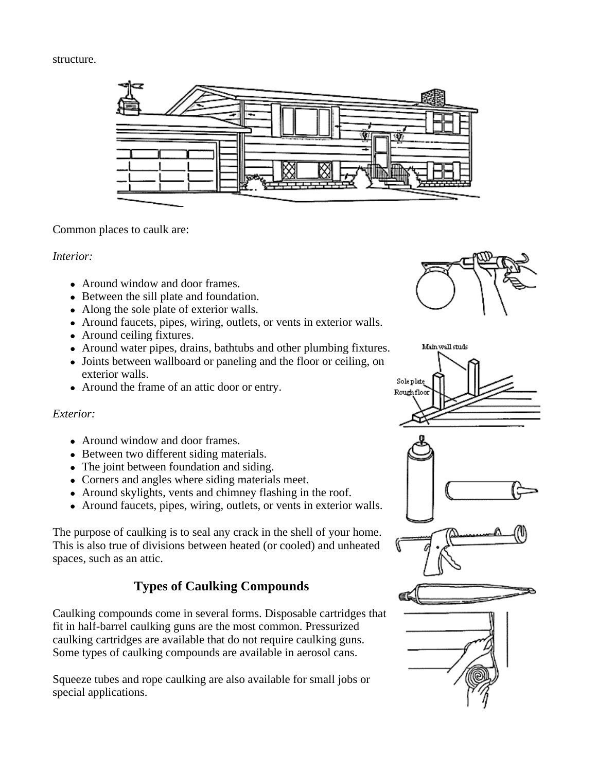#### structure.



#### Common places to caulk are:

#### *Interior:*

- Around window and door frames.
- Between the sill plate and foundation.
- Along the sole plate of exterior walls.
- Around faucets, pipes, wiring, outlets, or vents in exterior walls.
- Around ceiling fixtures.
- Around water pipes, drains, bathtubs and other plumbing fixtures.
- Joints between wallboard or paneling and the floor or ceiling, on exterior walls.
- Around the frame of an attic door or entry.

### *Exterior:*

- Around window and door frames.
- Between two different siding materials.
- The joint between foundation and siding.
- Corners and angles where siding materials meet.
- Around skylights, vents and chimney flashing in the roof.
- Around faucets, pipes, wiring, outlets, or vents in exterior walls.

The purpose of caulking is to seal any crack in the shell of your home. This is also true of divisions between heated (or cooled) and unheated spaces, such as an attic.

# **Types of Caulking Compounds**

Caulking compounds come in several forms. Disposable cartridges that fit in half-barrel caulking guns are the most common. Pressurized caulking cartridges are available that do not require caulking guns. Some types of caulking compounds are available in aerosol cans.

Squeeze tubes and rope caulking are also available for small jobs or special applications.











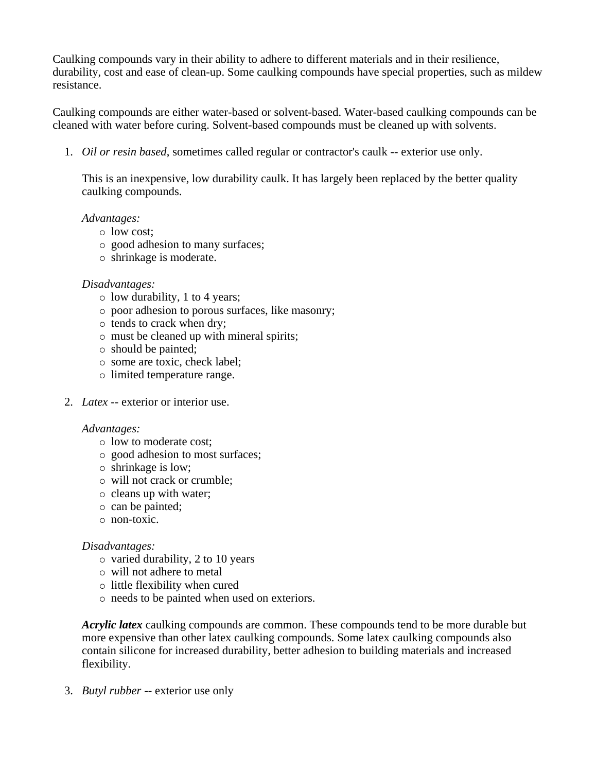Caulking compounds vary in their ability to adhere to different materials and in their resilience, durability, cost and ease of clean-up. Some caulking compounds have special properties, such as mildew resistance.

Caulking compounds are either water-based or solvent-based. Water-based caulking compounds can be cleaned with water before curing. Solvent-based compounds must be cleaned up with solvents.

1. *Oil or resin based*, sometimes called regular or contractor's caulk -- exterior use only.

This is an inexpensive, low durability caulk. It has largely been replaced by the better quality caulking compounds.

#### *Advantages:*

- $\circ$  low cost:
- $\circ$  good adhesion to many surfaces;
- $\circ$  shrinkage is moderate.

#### *Disadvantages:*

- $\circ$  low durability, 1 to 4 years;
- $\circ$  poor adhesion to porous surfaces, like masonry;
- $\circ$  tends to crack when dry;
- $\circ$  must be cleaned up with mineral spirits;
- $\circ$  should be painted;
- $\circ$  some are toxic, check label;
- $\circ$  limited temperature range.
- 2. *Latex* -- exterior or interior use.

#### *Advantages:*

- $\circ$  low to moderate cost;
- $\circ$  good adhesion to most surfaces;
- $\circ$  shrinkage is low;
- $\circ$  will not crack or crumble;
- $\circ$  cleans up with water;
- $\circ$  can be painted:
- $\circ$  non-toxic.

#### *Disadvantages:*

- $\circ$  varied durability, 2 to 10 years
- { will not adhere to metal
- $\circ$  little flexibility when cured
- $\circ$  needs to be painted when used on exteriors.

*Acrylic latex* caulking compounds are common. These compounds tend to be more durable but more expensive than other latex caulking compounds. Some latex caulking compounds also contain silicone for increased durability, better adhesion to building materials and increased flexibility.

3. *Butyl rubber* -- exterior use only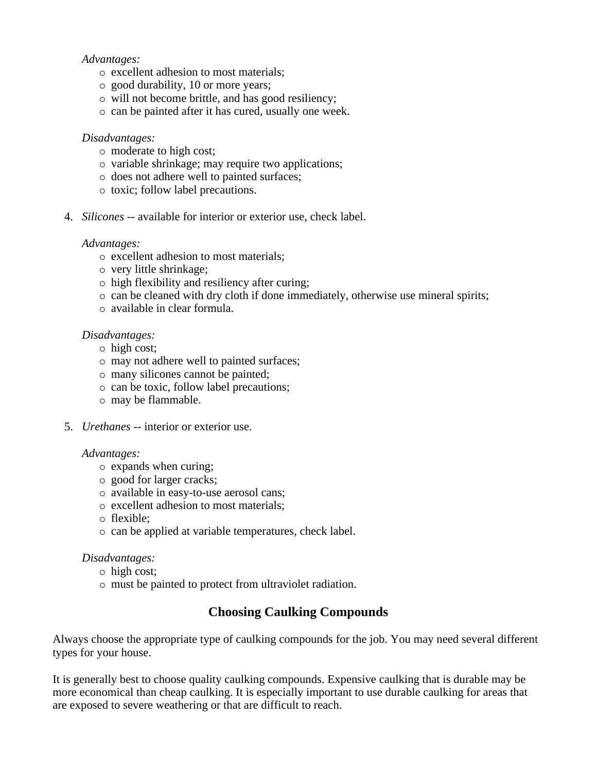#### *Advantages:*

- $\circ$  excellent adhesion to most materials;
- $\circ$  good durability, 10 or more years;
- $\circ$  will not become brittle, and has good resiliency;
- $\circ$  can be painted after it has cured, usually one week.

#### *Disadvantages:*

- $\circ$  moderate to high cost;
- $\circ$  variable shrinkage; may require two applications;
- $\circ$  does not adhere well to painted surfaces;
- $\circ$  toxic; follow label precautions.
- 4. *Silicones* -- available for interior or exterior use, check label.

#### *Advantages:*

- $\circ$  excellent adhesion to most materials;
- { very little shrinkage;
- $\circ$  high flexibility and resiliency after curing;
- $\circ$  can be cleaned with dry cloth if done immediately, otherwise use mineral spirits;
- $\circ$  available in clear formula.

#### *Disadvantages:*

- $\circ$  high cost;
- $\circ$  may not adhere well to painted surfaces;
- $\circ$  many silicones cannot be painted;
- $\circ$  can be toxic, follow label precautions;
- $\circ$  may be flammable.
- 5. *Urethanes* -- interior or exterior use.

#### *Advantages:*

- $\circ$  expands when curing;
- $\circ$  good for larger cracks;
- $\circ$  available in easy-to-use aerosol cans;
- $\circ$  excellent adhesion to most materials;
- $\circ$  flexible:
- $\circ$  can be applied at variable temperatures, check label.

#### *Disadvantages:*

- $\circ$  high cost;
- $\circ$  must be painted to protect from ultraviolet radiation.

## **Choosing Caulking Compounds**

Always choose the appropriate type of caulking compounds for the job. You may need several different types for your house.

It is generally best to choose quality caulking compounds. Expensive caulking that is durable may be more economical than cheap caulking. It is especially important to use durable caulking for areas that are exposed to severe weathering or that are difficult to reach.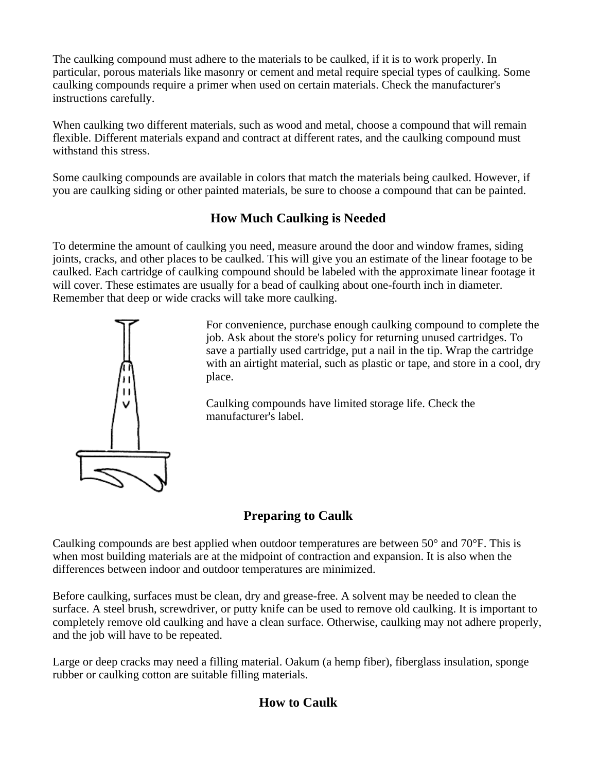The caulking compound must adhere to the materials to be caulked, if it is to work properly. In particular, porous materials like masonry or cement and metal require special types of caulking. Some caulking compounds require a primer when used on certain materials. Check the manufacturer's instructions carefully.

When caulking two different materials, such as wood and metal, choose a compound that will remain flexible. Different materials expand and contract at different rates, and the caulking compound must withstand this stress.

Some caulking compounds are available in colors that match the materials being caulked. However, if you are caulking siding or other painted materials, be sure to choose a compound that can be painted.

# **How Much Caulking is Needed**

To determine the amount of caulking you need, measure around the door and window frames, siding joints, cracks, and other places to be caulked. This will give you an estimate of the linear footage to be caulked. Each cartridge of caulking compound should be labeled with the approximate linear footage it will cover. These estimates are usually for a bead of caulking about one-fourth inch in diameter. Remember that deep or wide cracks will take more caulking.



For convenience, purchase enough caulking compound to complete the job. Ask about the store's policy for returning unused cartridges. To save a partially used cartridge, put a nail in the tip. Wrap the cartridge with an airtight material, such as plastic or tape, and store in a cool, dry place.

Caulking compounds have limited storage life. Check the manufacturer's label.

# **Preparing to Caulk**

Caulking compounds are best applied when outdoor temperatures are between 50° and 70°F. This is when most building materials are at the midpoint of contraction and expansion. It is also when the differences between indoor and outdoor temperatures are minimized.

Before caulking, surfaces must be clean, dry and grease-free. A solvent may be needed to clean the surface. A steel brush, screwdriver, or putty knife can be used to remove old caulking. It is important to completely remove old caulking and have a clean surface. Otherwise, caulking may not adhere properly, and the job will have to be repeated.

Large or deep cracks may need a filling material. Oakum (a hemp fiber), fiberglass insulation, sponge rubber or caulking cotton are suitable filling materials.

## **How to Caulk**